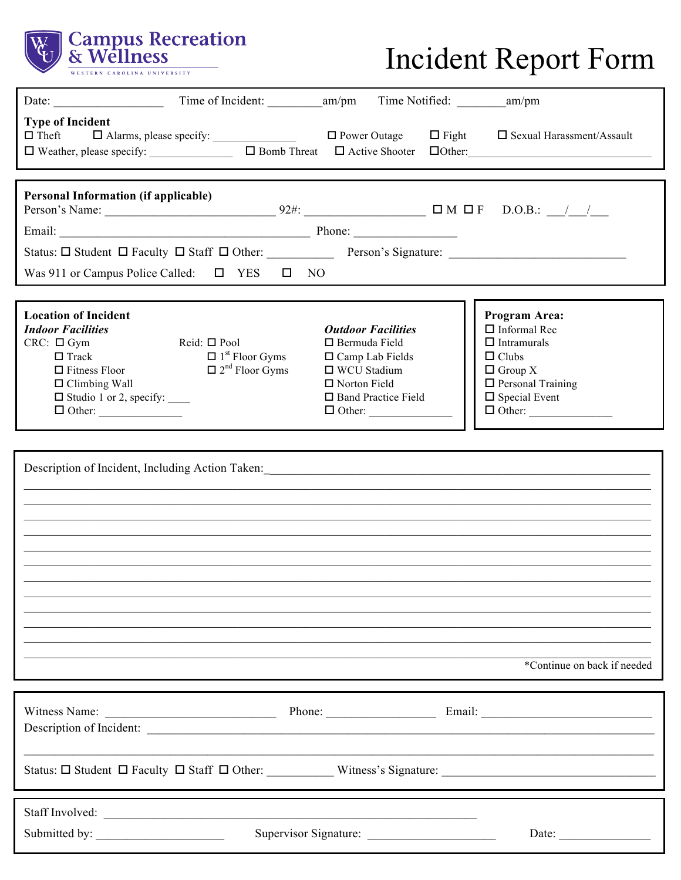

## Incident Report Form

| Date:                                                                                                                                                                               |                                                                                             |                                                                                                                                                                    |                                                                                                                                                                   |
|-------------------------------------------------------------------------------------------------------------------------------------------------------------------------------------|---------------------------------------------------------------------------------------------|--------------------------------------------------------------------------------------------------------------------------------------------------------------------|-------------------------------------------------------------------------------------------------------------------------------------------------------------------|
| <b>Type of Incident</b><br>$\Box$ Theft $\Box$ Alarms, please specify: $\Box$ $\Box$ Power Outage<br>$\Box$ Weather, please specify: $\Box$ Bomb Threat $\Box$ Active Shooter       |                                                                                             |                                                                                                                                                                    | $\Box$ Fight $\Box$ Sexual Harassment/Assault                                                                                                                     |
|                                                                                                                                                                                     |                                                                                             |                                                                                                                                                                    |                                                                                                                                                                   |
| <b>Personal Information (if applicable)</b>                                                                                                                                         |                                                                                             |                                                                                                                                                                    |                                                                                                                                                                   |
|                                                                                                                                                                                     |                                                                                             |                                                                                                                                                                    |                                                                                                                                                                   |
|                                                                                                                                                                                     |                                                                                             |                                                                                                                                                                    |                                                                                                                                                                   |
| Was 911 or Campus Police Called: $\Box$ YES $\Box$ NO                                                                                                                               |                                                                                             |                                                                                                                                                                    |                                                                                                                                                                   |
|                                                                                                                                                                                     |                                                                                             |                                                                                                                                                                    |                                                                                                                                                                   |
| <b>Location of Incident</b><br><b>Indoor Facilities</b><br>$CRC: \Box Gym$<br>$\Box$ Track<br>$\Box$ Fitness Floor<br>$\Box$ Climbing Wall<br>$\Box$ Studio 1 or 2, specify: $\_\_$ | Reid: $\Box$ Pool<br>$\Box$ 1 <sup>st</sup> Floor Gyms<br>$\Box$ 2 <sup>nd</sup> Floor Gyms | <b>Outdoor Facilities</b><br>$\Box$ Bermuda Field<br>$\Box$ Camp Lab Fields<br>□ WCU Stadium<br>$\Box$ Norton Field<br>$\Box$ Band Practice Field<br>$\Box$ Other: | Program Area:<br>$\Box$ Informal Rec<br>$\Box$ Intramurals<br>$\Box$ Clubs<br>$\Box$ Group X<br>$\Box$ Personal Training<br>$\Box$ Special Event<br>$\Box$ Other: |
|                                                                                                                                                                                     |                                                                                             |                                                                                                                                                                    |                                                                                                                                                                   |
|                                                                                                                                                                                     |                                                                                             |                                                                                                                                                                    | Description of Incident, Including Action Taken: Maria Maria Maria Maria Maria Maria Maria Maria Maria Maria Ma<br>*Continue on back if needed                    |
|                                                                                                                                                                                     |                                                                                             |                                                                                                                                                                    |                                                                                                                                                                   |
| Witness Name:                                                                                                                                                                       |                                                                                             |                                                                                                                                                                    |                                                                                                                                                                   |
|                                                                                                                                                                                     |                                                                                             |                                                                                                                                                                    |                                                                                                                                                                   |
|                                                                                                                                                                                     |                                                                                             |                                                                                                                                                                    |                                                                                                                                                                   |
|                                                                                                                                                                                     |                                                                                             |                                                                                                                                                                    |                                                                                                                                                                   |
|                                                                                                                                                                                     |                                                                                             | Supervisor Signature:                                                                                                                                              | Date: $\frac{1}{\sqrt{1-\frac{1}{2}} \cdot \frac{1}{2}}$                                                                                                          |